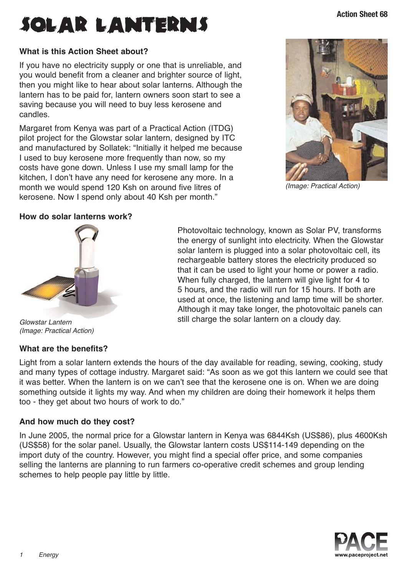# **ACTIONS** SOLAR LANTERNS

## **What is this Action Sheet about?**

If you have no electricity supply or one that is unreliable, and you would benefit from a cleaner and brighter source of light, then you might like to hear about solar lanterns. Although the lantern has to be paid for, lantern owners soon start to see a saving because you will need to buy less kerosene and candles.

Margaret from Kenya was part of a Practical Action (ITDG) pilot project for the Glowstar solar lantern, designed by ITC and manufactured by Sollatek: "Initially it helped me because I used to buy kerosene more frequently than now, so my costs have gone down. Unless I use my small lamp for the kitchen, I don't have any need for kerosene any more. In a month we would spend 120 Ksh on around five litres of kerosene. Now I spend only about 40 Ksh per month."



(Image: Practical Action)

### **How do solar lanterns work?**



Glowstar Lantern (Image: Practical Action)

### **What are the benefits?**

Photovoltaic technology, known as Solar PV, transforms the energy of sunlight into electricity. When the Glowstar solar lantern is plugged into a solar photovoltaic cell, its rechargeable battery stores the electricity produced so that it can be used to light your home or power a radio. When fully charged, the lantern will give light for 4 to 5 hours, and the radio will run for 15 hours. If both are used at once, the listening and lamp time will be shorter. Although it may take longer, the photovoltaic panels can still charge the solar lantern on a cloudy day.

Light from a solar lantern extends the hours of the day available for reading, sewing, cooking, study and many types of cottage industry. Margaret said: "As soon as we got this lantern we could see that it was better. When the lantern is on we can't see that the kerosene one is on. When we are doing something outside it lights my way. And when my children are doing their homework it helps them too - they get about two hours of work to do."

## **And how much do they cost?**

In June 2005, the normal price for a Glowstar lantern in Kenya was 6844Ksh (US\$86), plus 4600Ksh (US\$58) for the solar panel. Usually, the Glowstar lantern costs US\$114-149 depending on the import duty of the country. However, you might find a special offer price, and some companies selling the lanterns are planning to run farmers co-operative credit schemes and group lending schemes to help people pay little by little.